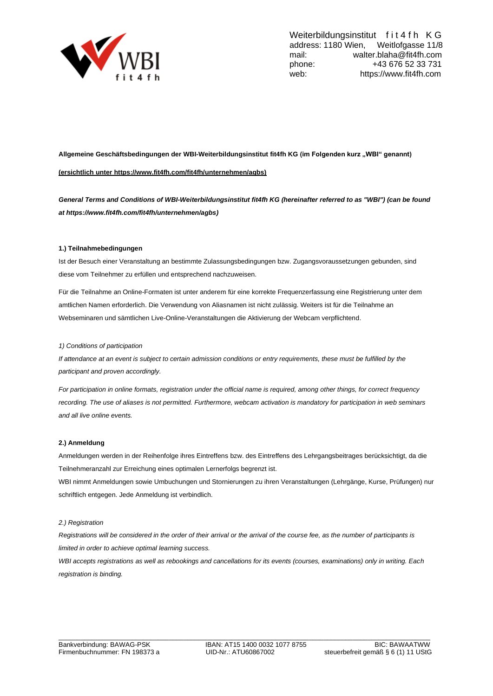

**Allgemeine Geschäftsbedingungen der WBI-Weiterbildungsinstitut fit4fh KG (im Folgenden kurz "WBI" genannt) (ersichtlich unter https://www.fit4fh.com/fit4fh/unternehmen/agbs)**

*General Terms and Conditions of WBI-Weiterbildungsinstitut fit4fh KG (hereinafter referred to as "WBI") (can be found at https:/[/www.fit4fh.com/fit4fh/unternehmen/agbs\)](http://www.fit4fh.com/fit4fh/unternehmen/agbs))*

## **1.) Teilnahmebedingungen**

Ist der Besuch einer Veranstaltung an bestimmte Zulassungsbedingungen bzw. Zugangsvoraussetzungen gebunden, sind diese vom Teilnehmer zu erfüllen und entsprechend nachzuweisen.

Für die Teilnahme an Online-Formaten ist unter anderem für eine korrekte Frequenzerfassung eine Registrierung unter dem amtlichen Namen erforderlich. Die Verwendung von Aliasnamen ist nicht zulässig. Weiters ist für die Teilnahme an Webseminaren und sämtlichen Live-Online-Veranstaltungen die Aktivierung der Webcam verpflichtend.

#### *1) Conditions of participation*

*If attendance at an event is subject to certain admission conditions or entry requirements, these must be fulfilled by the participant and proven accordingly.*

*For participation in online formats, registration under the official name is required, among other things, for correct frequency recording. The use of aliases is not permitted. Furthermore, webcam activation is mandatory for participation in web seminars and all live online events.*

## **2.) Anmeldung**

Anmeldungen werden in der Reihenfolge ihres Eintreffens bzw. des Eintreffens des Lehrgangsbeitrages berücksichtigt, da die Teilnehmeranzahl zur Erreichung eines optimalen Lernerfolgs begrenzt ist.

WBI nimmt Anmeldungen sowie Umbuchungen und Stornierungen zu ihren Veranstaltungen (Lehrgänge, Kurse, Prüfungen) nur schriftlich entgegen. Jede Anmeldung ist verbindlich.

#### *2.) Registration*

*Registrations will be considered in the order of their arrival or the arrival of the course fee, as the number of participants is limited in order to achieve optimal learning success.*

*WBI accepts registrations as well as rebookings and cancellations for its events (courses, examinations) only in writing. Each registration is binding.*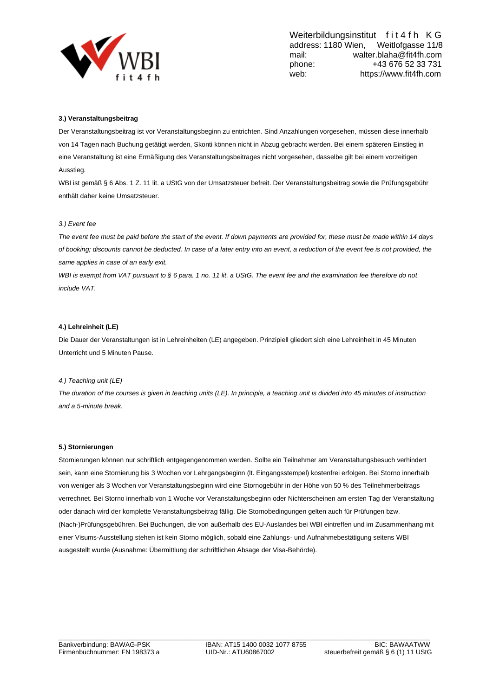

# **3.) Veranstaltungsbeitrag**

Der Veranstaltungsbeitrag ist vor Veranstaltungsbeginn zu entrichten. Sind Anzahlungen vorgesehen, müssen diese innerhalb von 14 Tagen nach Buchung getätigt werden, Skonti können nicht in Abzug gebracht werden. Bei einem späteren Einstieg in eine Veranstaltung ist eine Ermäßigung des Veranstaltungsbeitrages nicht vorgesehen, dasselbe gilt bei einem vorzeitigen Ausstieg.

WBI ist gemäß § 6 Abs. 1 Z. 11 lit. a UStG von der Umsatzsteuer befreit. Der Veranstaltungsbeitrag sowie die Prüfungsgebühr enthält daher keine Umsatzsteuer.

## *3.) Event fee*

*The event fee must be paid before the start of the event. If down payments are provided for, these must be made within 14 days of booking; discounts cannot be deducted. In case of a later entry into an event, a reduction of the event fee is not provided, the same applies in case of an early exit.*

*WBI is exempt from VAT pursuant to § 6 para. 1 no. 11 lit. a UStG. The event fee and the examination fee therefore do not include VAT.*

## **4.) Lehreinheit (LE)**

Die Dauer der Veranstaltungen ist in Lehreinheiten (LE) angegeben. Prinzipiell gliedert sich eine Lehreinheit in 45 Minuten Unterricht und 5 Minuten Pause.

## *4.) Teaching unit (LE)*

*The duration of the courses is given in teaching units (LE). In principle, a teaching unit is divided into 45 minutes of instruction and a 5-minute break.*

## **5.) Stornierungen**

Stornierungen können nur schriftlich entgegengenommen werden. Sollte ein Teilnehmer am Veranstaltungsbesuch verhindert sein, kann eine Stornierung bis 3 Wochen vor Lehrgangsbeginn (lt. Eingangsstempel) kostenfrei erfolgen. Bei Storno innerhalb von weniger als 3 Wochen vor Veranstaltungsbeginn wird eine Stornogebühr in der Höhe von 50 % des Teilnehmerbeitrags verrechnet. Bei Storno innerhalb von 1 Woche vor Veranstaltungsbeginn oder Nichterscheinen am ersten Tag der Veranstaltung oder danach wird der komplette Veranstaltungsbeitrag fällig. Die Stornobedingungen gelten auch für Prüfungen bzw. (Nach-)Prüfungsgebühren. Bei Buchungen, die von außerhalb des EU-Auslandes bei WBI eintreffen und im Zusammenhang mit einer Visums-Ausstellung stehen ist kein Storno möglich, sobald eine Zahlungs- und Aufnahmebestätigung seitens WBI ausgestellt wurde (Ausnahme: Übermittlung der schriftlichen Absage der Visa-Behörde).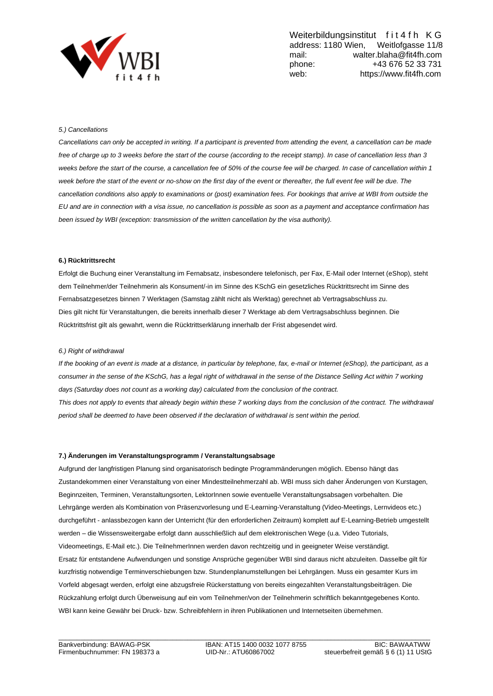

## *5.) Cancellations*

*Cancellations can only be accepted in writing. If a participant is prevented from attending the event, a cancellation can be made free of charge up to 3 weeks before the start of the course (according to the receipt stamp). In case of cancellation less than 3 weeks before the start of the course, a cancellation fee of 50% of the course fee will be charged. In case of cancellation within 1*  week before the start of the event or no-show on the first day of the event or thereafter, the full event fee will be due. The *cancellation conditions also apply to examinations or (post) examination fees. For bookings that arrive at WBI from outside the EU and are in connection with a visa issue, no cancellation is possible as soon as a payment and acceptance confirmation has been issued by WBI (exception: transmission of the written cancellation by the visa authority).*

## **6.) Rücktrittsrecht**

Erfolgt die Buchung einer Veranstaltung im Fernabsatz, insbesondere telefonisch, per Fax, E-Mail oder Internet (eShop), steht dem Teilnehmer/der Teilnehmerin als Konsument/-in im Sinne des KSchG ein gesetzliches Rücktrittsrecht im Sinne des Fernabsatzgesetzes binnen 7 Werktagen (Samstag zählt nicht als Werktag) gerechnet ab Vertragsabschluss zu. Dies gilt nicht für Veranstaltungen, die bereits innerhalb dieser 7 Werktage ab dem Vertragsabschluss beginnen. Die Rücktrittsfrist gilt als gewahrt, wenn die Rücktrittserklärung innerhalb der Frist abgesendet wird.

#### *6.) Right of withdrawal*

*If the booking of an event is made at a distance, in particular by telephone, fax, e-mail or Internet (eShop), the participant, as a*  consumer in the sense of the KSchG, has a legal right of withdrawal in the sense of the Distance Selling Act within 7 working *days (Saturday does not count as a working day) calculated from the conclusion of the contract. This does not apply to events that already begin within these 7 working days from the conclusion of the contract. The withdrawal period shall be deemed to have been observed if the declaration of withdrawal is sent within the period.*

#### **7.) Änderungen im Veranstaltungsprogramm / Veranstaltungsabsage**

Aufgrund der langfristigen Planung sind organisatorisch bedingte Programmänderungen möglich. Ebenso hängt das Zustandekommen einer Veranstaltung von einer Mindestteilnehmerzahl ab. WBI muss sich daher Änderungen von Kurstagen, Beginnzeiten, Terminen, Veranstaltungsorten, LektorInnen sowie eventuelle Veranstaltungsabsagen vorbehalten. Die Lehrgänge werden als Kombination von Präsenzvorlesung und E-Learning-Veranstaltung (Video-Meetings, Lernvideos etc.) durchgeführt - anlassbezogen kann der Unterricht (für den erforderlichen Zeitraum) komplett auf E-Learning-Betrieb umgestellt werden – die Wissensweitergabe erfolgt dann ausschließlich auf dem elektronischen Wege (u.a. Video Tutorials, Videomeetings, E-Mail etc.). Die TeilnehmerInnen werden davon rechtzeitig und in geeigneter Weise verständigt. Ersatz für entstandene Aufwendungen und sonstige Ansprüche gegenüber WBI sind daraus nicht abzuleiten. Dasselbe gilt für kurzfristig notwendige Terminverschiebungen bzw. Stundenplanumstellungen bei Lehrgängen. Muss ein gesamter Kurs im Vorfeld abgesagt werden, erfolgt eine abzugsfreie Rückerstattung von bereits eingezahlten Veranstaltungsbeiträgen. Die Rückzahlung erfolgt durch Überweisung auf ein vom Teilnehmer/von der Teilnehmerin schriftlich bekanntgegebenes Konto. WBI kann keine Gewähr bei Druck- bzw. Schreibfehlern in ihren Publikationen und Internetseiten übernehmen.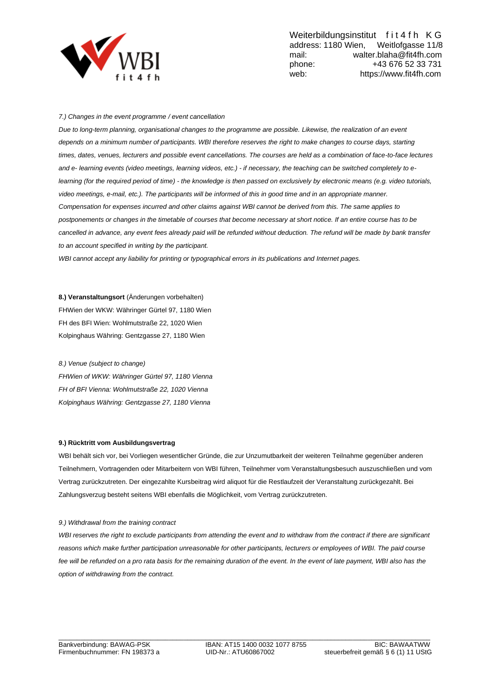

# *7.) Changes in the event programme / event cancellation*

*Due to long-term planning, organisational changes to the programme are possible. Likewise, the realization of an event depends on a minimum number of participants. WBI therefore reserves the right to make changes to course days, starting times, dates, venues, lecturers and possible event cancellations. The courses are held as a combination of face-to-face lectures and e- learning events (video meetings, learning videos, etc.) - if necessary, the teaching can be switched completely to elearning (for the required period of time) - the knowledge is then passed on exclusively by electronic means (e.g. video tutorials, video meetings, e-mail, etc.). The participants will be informed of this in good time and in an appropriate manner. Compensation for expenses incurred and other claims against WBI cannot be derived from this. The same applies to postponements or changes in the timetable of courses that become necessary at short notice. If an entire course has to be cancelled in advance, any event fees already paid will be refunded without deduction. The refund will be made by bank transfer to an account specified in writing by the participant.*

*WBI cannot accept any liability for printing or typographical errors in its publications and Internet pages.*

**8.) Veranstaltungsort** (Änderungen vorbehalten) FHWien der WKW: Währinger Gürtel 97, 1180 Wien FH des BFI Wien: Wohlmutstraße 22, 1020 Wien Kolpinghaus Währing: Gentzgasse 27, 1180 Wien

*8.) Venue (subject to change) FHWien of WKW: Währinger Gürtel 97, 1180 Vienna FH of BFI Vienna: Wohlmutstraße 22, 1020 Vienna Kolpinghaus Währing: Gentzgasse 27, 1180 Vienna*

## **9.) Rücktritt vom Ausbildungsvertrag**

WBI behält sich vor, bei Vorliegen wesentlicher Gründe, die zur Unzumutbarkeit der weiteren Teilnahme gegenüber anderen Teilnehmern, Vortragenden oder Mitarbeitern von WBI führen, Teilnehmer vom Veranstaltungsbesuch auszuschließen und vom Vertrag zurückzutreten. Der eingezahlte Kursbeitrag wird aliquot für die Restlaufzeit der Veranstaltung zurückgezahlt. Bei Zahlungsverzug besteht seitens WBI ebenfalls die Möglichkeit, vom Vertrag zurückzutreten.

## *9.) Withdrawal from the training contract*

WBI reserves the right to exclude participants from attending the event and to withdraw from the contract if there are significant *reasons which make further participation unreasonable for other participants, lecturers or employees of WBI. The paid course*  fee will be refunded on a pro rata basis for the remaining duration of the event. In the event of late payment, WBI also has the *option of withdrawing from the contract.*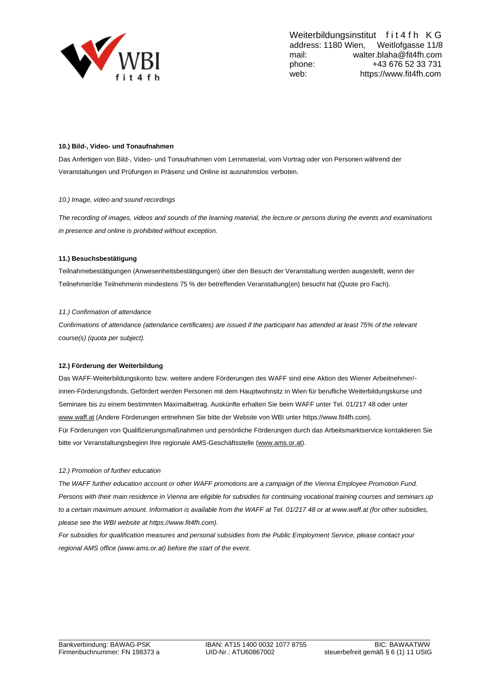

## **10.) Bild-, Video- und Tonaufnahmen**

Das Anfertigen von Bild-, Video- und Tonaufnahmen vom Lernmaterial, vom Vortrag oder von Personen während der Veranstaltungen und Prüfungen in Präsenz und Online ist ausnahmslos verboten.

## *10.) Image, video and sound recordings*

*The recording of images, videos and sounds of the learning material, the lecture or persons during the events and examinations in presence and online is prohibited without exception.*

## **11.) Besuchsbestätigung**

Teilnahmebestätigungen (Anwesenheitsbestätigungen) über den Besuch der Veranstaltung werden ausgestellt, wenn der Teilnehmer/die Teilnehmerin mindestens 75 % der betreffenden Veranstaltung(en) besucht hat (Quote pro Fach).

#### *11.) Confirmation of attendance*

*Confirmations of attendance (attendance certificates) are issued if the participant has attended at least 75% of the relevant course(s) (quota per subject).*

#### **12.) Förderung der Weiterbildung**

Das WAFF-Weiterbildungskonto bzw. weitere andere Förderungen des WAFF sind eine Aktion des Wiener Arbeitnehmer/ innen-Förderungsfonds. Gefördert werden Personen mit dem Hauptwohnsitz in Wien für berufliche Weiterbildungskurse und Seminare bis zu einem bestimmten Maximalbetrag. Auskünfte erhalten Sie beim WAFF unter Tel. 01/217 48 oder unter [www.waff.at](http://www.waff.at/) (Andere Förderungen entnehmen Sie bitte der Website von WBI unter https://www.fit4fh.com). Für Förderungen von Qualifizierungsmaßnahmen und persönliche Förderungen durch das Arbeitsmarktservice kontaktieren Sie bitte vor Veranstaltungsbeginn Ihre regionale AMS-Geschäftsstelle [\(www.ams.or.at\)](http://www.ams.or.at/).

#### *12.) Promotion of further education*

*The WAFF further education account or other WAFF promotions are a campaign of the Vienna Employee Promotion Fund. Persons with their main residence in Vienna are eligible for subsidies for continuing vocational training courses and seminars up to a certain maximum amount. Information is available from the WAFF at Tel. 01/217 48 or at www.waff.at (for other subsidies, please see the WBI website at https://www.fit4fh.com).*

*For subsidies for qualification measures and personal subsidies from the Public Employment Service, please contact your regional AMS office (www.ams.or.at) before the start of the event.*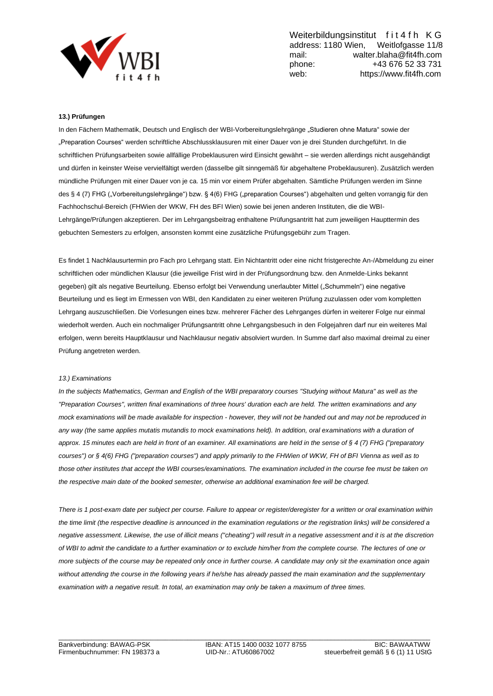

# **13.) Prüfungen**

In den Fächern Mathematik, Deutsch und Englisch der WBI-Vorbereitungslehrgänge "Studieren ohne Matura" sowie der "Preparation Courses" werden schriftliche Abschlussklausuren mit einer Dauer von je drei Stunden durchgeführt. In die schriftlichen Prüfungsarbeiten sowie allfällige Probeklausuren wird Einsicht gewährt – sie werden allerdings nicht ausgehändigt und dürfen in keinster Weise vervielfältigt werden (dasselbe gilt sinngemäß für abgehaltene Probeklausuren). Zusätzlich werden mündliche Prüfungen mit einer Dauer von je ca. 15 min vor einem Prüfer abgehalten. Sämtliche Prüfungen werden im Sinne des § 4 (7) FHG ("Vorbereitungslehrgänge") bzw. § 4(6) FHG ("preparation Courses") abgehalten und gelten vorrangig für den Fachhochschul-Bereich (FHWien der WKW, FH des BFI Wien) sowie bei jenen anderen Instituten, die die WBI-Lehrgänge/Prüfungen akzeptieren. Der im Lehrgangsbeitrag enthaltene Prüfungsantritt hat zum jeweiligen Haupttermin des gebuchten Semesters zu erfolgen, ansonsten kommt eine zusätzliche Prüfungsgebühr zum Tragen.

Es findet 1 Nachklausurtermin pro Fach pro Lehrgang statt. Ein Nichtantritt oder eine nicht fristgerechte An-/Abmeldung zu einer schriftlichen oder mündlichen Klausur (die jeweilige Frist wird in der Prüfungsordnung bzw. den Anmelde-Links bekannt gegeben) gilt als negative Beurteilung. Ebenso erfolgt bei Verwendung unerlaubter Mittel ("Schummeln") eine negative Beurteilung und es liegt im Ermessen von WBI, den Kandidaten zu einer weiteren Prüfung zuzulassen oder vom kompletten Lehrgang auszuschließen. Die Vorlesungen eines bzw. mehrerer Fächer des Lehrganges dürfen in weiterer Folge nur einmal wiederholt werden. Auch ein nochmaliger Prüfungsantritt ohne Lehrgangsbesuch in den Folgejahren darf nur ein weiteres Mal erfolgen, wenn bereits Hauptklausur und Nachklausur negativ absolviert wurden. In Summe darf also maximal dreimal zu einer Prüfung angetreten werden.

## *13.) Examinations*

*In the subjects Mathematics, German and English of the WBI preparatory courses "Studying without Matura" as well as the "Preparation Courses", written final examinations of three hours' duration each are held. The written examinations and any mock examinations will be made available for inspection - however, they will not be handed out and may not be reproduced in*  any way (the same applies mutatis mutandis to mock examinations held). In addition, oral examinations with a duration of *approx. 15 minutes each are held in front of an examiner. All examinations are held in the sense of § 4 (7) FHG ("preparatory courses") or § 4(6) FHG ("preparation courses") and apply primarily to the FHWien of WKW, FH of BFI Vienna as well as to those other institutes that accept the WBI courses/examinations. The examination included in the course fee must be taken on the respective main date of the booked semester, otherwise an additional examination fee will be charged.*

*There is 1 post-exam date per subject per course. Failure to appear or register/deregister for a written or oral examination within the time limit (the respective deadline is announced in the examination regulations or the registration links) will be considered a negative assessment. Likewise, the use of illicit means ("cheating") will result in a negative assessment and it is at the discretion of WBI to admit the candidate to a further examination or to exclude him/her from the complete course. The lectures of one or more subjects of the course may be repeated only once in further course. A candidate may only sit the examination once again without attending the course in the following years if he/she has already passed the main examination and the supplementary examination with a negative result. In total, an examination may only be taken a maximum of three times.*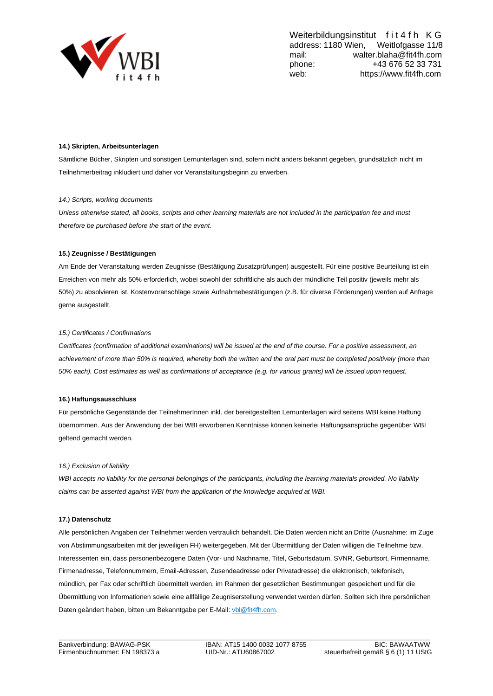

## **14.) Skripten, Arbeitsunterlagen**

Sämtliche Bücher, Skripten und sonstigen Lernunterlagen sind, sofern nicht anders bekannt gegeben, grundsätzlich nicht im Teilnehmerbeitrag inkludiert und daher vor Veranstaltungsbeginn zu erwerben.

## *14.) Scripts, working documents*

*Unless otherwise stated, all books, scripts and other learning materials are not included in the participation fee and must therefore be purchased before the start of the event.*

## **15.) Zeugnisse / Bestätigungen**

Am Ende der Veranstaltung werden Zeugnisse (Bestätigung Zusatzprüfungen) ausgestellt. Für eine positive Beurteilung ist ein Erreichen von mehr als 50% erforderlich, wobei sowohl der schriftliche als auch der mündliche Teil positiv (jeweils mehr als 50%) zu absolvieren ist. Kostenvoranschläge sowie Aufnahmebestätigungen (z.B. für diverse Förderungen) werden auf Anfrage gerne ausgestellt.

#### *15.) Certificates / Confirmations*

*Certificates (confirmation of additional examinations) will be issued at the end of the course. For a positive assessment, an achievement of more than 50% is required, whereby both the written and the oral part must be completed positively (more than 50% each). Cost estimates as well as confirmations of acceptance (e.g. for various grants) will be issued upon request.*

#### **16.) Haftungsausschluss**

Für persönliche Gegenstände der TeilnehmerInnen inkl. der bereitgestellten Lernunterlagen wird seitens WBI keine Haftung übernommen. Aus der Anwendung der bei WBI erworbenen Kenntnisse können keinerlei Haftungsansprüche gegenüber WBI geltend gemacht werden.

#### *16.) Exclusion of liability*

*WBI accepts no liability for the personal belongings of the participants, including the learning materials provided. No liability claims can be asserted against WBI from the application of the knowledge acquired at WBI.*

# **17.) Datenschutz**

Alle persönlichen Angaben der Teilnehmer werden vertraulich behandelt. Die Daten werden nicht an Dritte (Ausnahme: im Zuge von Abstimmungsarbeiten mit der jeweiligen FH) weitergegeben. Mit der Übermittlung der Daten willigen die Teilnehme bzw. Interessenten ein, dass personenbezogene Daten (Vor- und Nachname, Titel, Geburtsdatum, SVNR, Geburtsort, Firmenname, Firmenadresse, Telefonnummern, Email-Adressen, Zusendeadresse oder Privatadresse) die elektronisch, telefonisch, mündlich, per Fax oder schriftlich übermittelt werden, im Rahmen der gesetzlichen Bestimmungen gespeichert und für die Übermittlung von Informationen sowie eine allfällige Zeugniserstellung verwendet werden dürfen. Sollten sich Ihre persönlichen Daten geändert haben, bitten um Bekanntgabe per E-Mail[: vbl@fit4fh.com.](mailto:vbl@fit4fh.com)